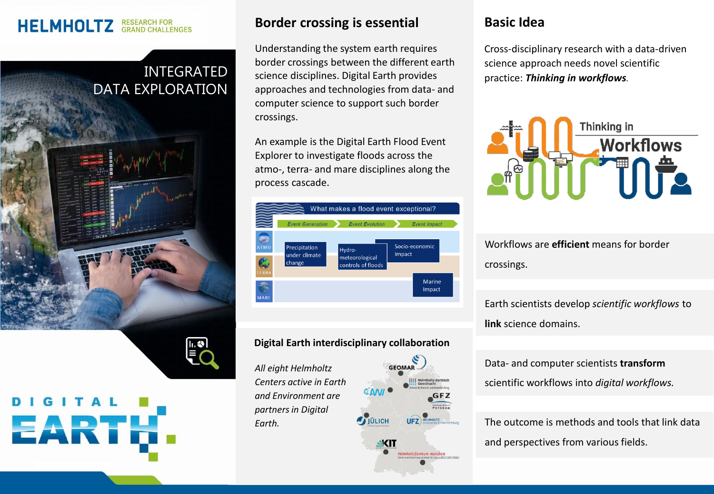# **HELMHOLTZ** RESEARCH FOR

## INTEGRATED DATA EXPLORATION



#### **Border crossing is essential**

Understanding the system earth requires border crossings between the different earth science disciplines. Digital Earth provides approaches and technologies from data- and computer science to support such border crossings.

An example is the Digital Earth Flood Event Explorer to investigate floods across the atmo-, terra- and mare disciplines along the process cascade.



#### **Digital Earth interdisciplinary collaboration**

*All eight Helmholtz Centers active in Earth and Environment are partners in Digital Earth.*

# GEOMAR **GFZ AJULICH**

SKIT

#### **Basic Idea**

Cross-disciplinary research with a data-driven science approach needs novel scientific practice: *Thinking in workflows.*



Workflows are **efficient** means for border crossings.

Earth scientists develop *scientific workflows* to **link** science domains.

Data- and computer scientists **transform** scientific workflows into *digital workflows.*

The outcome is methods and tools that link data and perspectives from various fields.